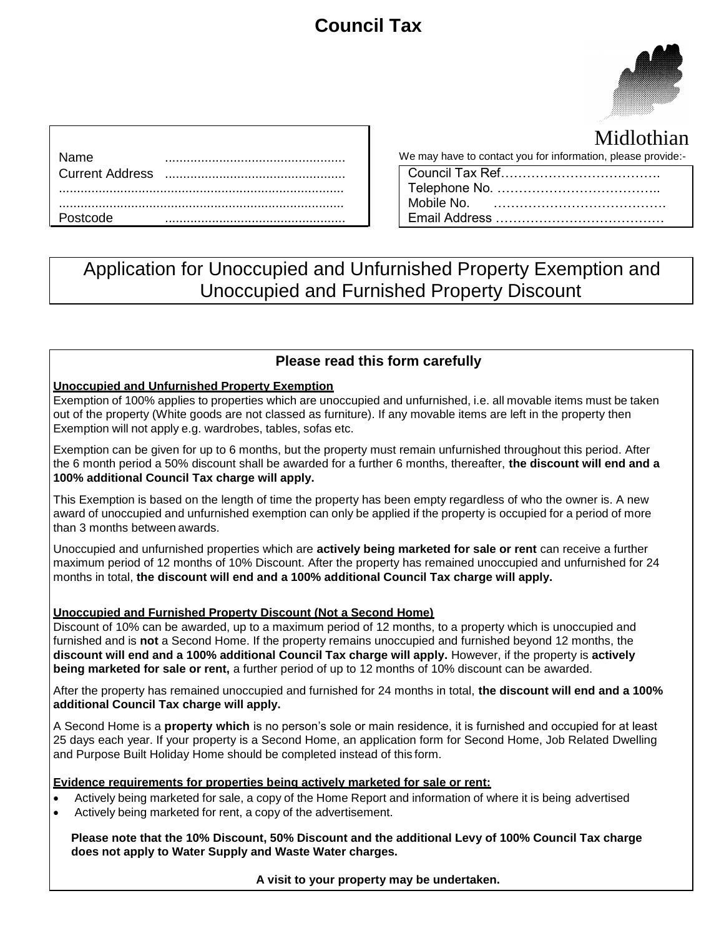# **Council Tax**



Midlothian

|             | Midlothiar                                                   |
|-------------|--------------------------------------------------------------|
| <b>Name</b> | We may have to contact you for information, please provide:- |
|             |                                                              |
|             |                                                              |
|             |                                                              |
| Postcode    |                                                              |

| 1111110111111111                                            |
|-------------------------------------------------------------|
| e may have to contact you for information, please provide:- |
|                                                             |
|                                                             |
|                                                             |
|                                                             |

## Application for Unoccupied and Unfurnished Property Exemption and Unoccupied and Furnished Property Discount

### **Please read this form carefully**

#### **Unoccupied and Unfurnished Property Exemption**

Exemption of 100% applies to properties which are unoccupied and unfurnished, i.e. all movable items must be taken out of the property (White goods are not classed as furniture). If any movable items are left in the property then Exemption will not apply e.g. wardrobes, tables, sofas etc.

Exemption can be given for up to 6 months, but the property must remain unfurnished throughout this period. After the 6 month period a 50% discount shall be awarded for a further 6 months, thereafter, **the discount will end and a 100% additional Council Tax charge will apply.**

This Exemption is based on the length of time the property has been empty regardless of who the owner is. A new award of unoccupied and unfurnished exemption can only be applied if the property is occupied for a period of more than 3 months between awards.

Unoccupied and unfurnished properties which are **actively being marketed for sale or rent** can receive a further maximum period of 12 months of 10% Discount. After the property has remained unoccupied and unfurnished for 24 months in total, **the discount will end and a 100% additional Council Tax charge will apply.**

#### **Unoccupied and Furnished Property Discount (Not a Second Home)**

Discount of 10% can be awarded, up to a maximum period of 12 months, to a property which is unoccupied and furnished and is **not** a Second Home. If the property remains unoccupied and furnished beyond 12 months, the **discount will end and a 100% additional Council Tax charge will apply.** However, if the property is **actively being marketed for sale or rent,** a further period of up to 12 months of 10% discount can be awarded.

After the property has remained unoccupied and furnished for 24 months in total, **the discount will end and a 100% additional Council Tax charge will apply.**

A Second Home is a **property which** is no person's sole or main residence, it is furnished and occupied for at least 25 days each year. If your property is a Second Home, an application form for Second Home, Job Related Dwelling and Purpose Built Holiday Home should be completed instead of this form.

#### **Evidence requirements for properties being actively marketed for sale or rent:**

- Actively being marketed for sale, a copy of the Home Report and information of where it is being advertised
- Actively being marketed for rent, a copy of the advertisement.

**Please note that the 10% Discount, 50% Discount and the additional Levy of 100% Council Tax charge does not apply to Water Supply and Waste Water charges.**

**A visit to your property may be undertaken.**